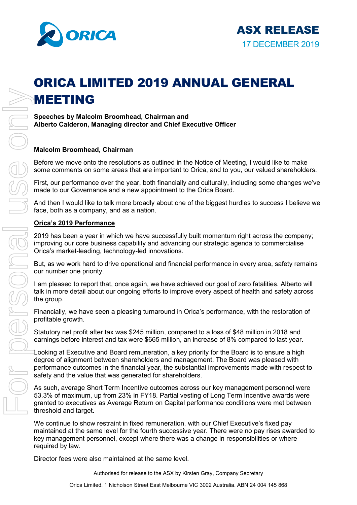

# ORICA LIMITED 2019 ANNUAL GENERAL MEETING

**Speeches by Malcolm Broomhead, Chairman and Alberto Calderon, Managing director and Chief Executive Officer**

## **Malcolm Broomhead, Chairman**

Before we move onto the resolutions as outlined in the Notice of Meeting, I would like to make some comments on some areas that are important to Orica, and to you, our valued shareholders.

First, our performance over the year, both financially and culturally, including some changes we've made to our Governance and a new appointment to the Orica Board.

And then I would like to talk more broadly about one of the biggest hurdles to success I believe we face, both as a company, and as a nation.

## **Orica's 2019 Performance**

2019 has been a year in which we have successfully built momentum right across the company; improving our core business capability and advancing our strategic agenda to commercialise Orica's market-leading, technology-led innovations.

But, as we work hard to drive operational and financial performance in every area, safety remains our number one priority.

I am pleased to report that, once again, we have achieved our goal of zero fatalities. Alberto will talk in more detail about our ongoing efforts to improve every aspect of health and safety across the group.

Financially, we have seen a pleasing turnaround in Orica's performance, with the restoration of profitable growth.

Statutory net profit after tax was \$245 million, compared to a loss of \$48 million in 2018 and earnings before interest and tax were \$665 million, an increase of 8% compared to last year.

Looking at Executive and Board remuneration, a key priority for the Board is to ensure a high degree of alignment between shareholders and management. The Board was pleased with performance outcomes in the financial year, the substantial improvements made with respect to safety and the value that was generated for shareholders.

As such, average Short Term Incentive outcomes across our key management personnel were 53.3% of maximum, up from 23% in FY18. Partial vesting of Long Term Incentive awards were granted to executives as Average Return on Capital performance conditions were met between threshold and target.

We continue to show restraint in fixed remuneration, with our Chief Executive's fixed pay maintained at the same level for the fourth successive year. There were no pay rises awarded to key management personnel, except where there was a change in responsibilities or where required by law.

Authorised for release to the ASX by Kirsten Gray, Company Secretary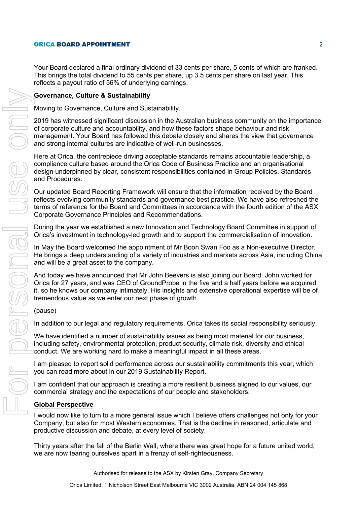Your Board declared a final ordinary dividend of 33 cents per share, 5 cents of which are franked. This brings the total dividend to 55 cents per share, up 3.5 cents per share on last year. This reflects a payout ratio of 56% of underlying earnings.

## **Governance, Culture & Sustainability**

Moving to Governance, Culture and Sustainability.

2019 has witnessed significant discussion in the Australian business community on the importance of corporate culture and accountability, and how these factors shape behaviour and risk management. Your Board has followed this debate closely and shares the view that governance and strong internal cultures are indicative of well-run businesses.

Here at Orica, the centrepiece driving acceptable standards remains accountable leadership, a compliance culture based around the Orica Code of Business Practice and an organisational design underpinned by clear, consistent responsibilities contained in Group Policies, Standards and Procedures.

Our updated Board Reporting Framework will ensure that the information received by the Board reflects evolving community standards and governance best practice. We have also refreshed the terms of reference for the Board and Committees in accordance with the fourth edition of the ASX Corporate Governance Principles and Recommendations.

During the year we established a new Innovation and Technology Board Committee in support of Orica's investment in technology-led growth and to support the commercialisation of innovation.

In May the Board welcomed the appointment of Mr Boon Swan Foo as a Non-executive Director. He brings a deep understanding of a variety of industries and markets across Asia, including China and will be a great asset to the company.

And today we have announced that Mr John Beevers is also joining our Board. John worked for Orica for 27 years, and was CEO of GroundProbe in the five and a half years before we acquired it, so he knows our company intimately. His insights and extensive operational expertise will be of tremendous value as we enter our next phase of growth.

## (pause)

In addition to our legal and regulatory requirements, Orica takes its social responsibility seriously.

We have identified a number of sustainability issues as being most material for our business, including safety, environmental protection, product security, climate risk, diversity and ethical conduct. We are working hard to make a meaningful impact in all these areas.

I am pleased to report solid performance across our sustainability commitments this year, which you can read more about in our 2019 Sustainability Report.

I am confident that our approach is creating a more resilient business aligned to our values, our commercial strategy and the expectations of our people and stakeholders.

## **Global Perspective**

I would now like to turn to a more general issue which I believe offers challenges not only for your Company, but also for most Western economies. That is the decline in reasoned, articulate and productive discussion and debate, at every level of society.

Thirty years after the fall of the Berlin Wall, where there was great hope for a future united world,

Authorised for release to the ASX by Kirsten Gray, Company Secretary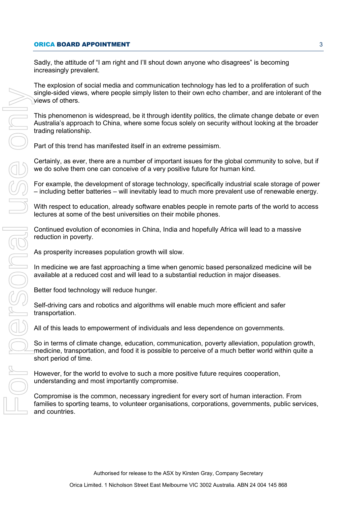## **ORICA BOARD APPOINTMENT** 3

Sadly, the attitude of "I am right and I'll shout down anyone who disagrees" is becoming increasingly prevalent.

The explosion of social media and communication technology has led to a proliferation of such single-sided views, where people simply listen to their own echo chamber, and are intolerant of the views of others.

This phenomenon is widespread, be it through identity politics, the climate change debate or even Australia's approach to China, where some focus solely on security without looking at the broader trading relationship.

Part of this trend has manifested itself in an extreme pessimism.

Certainly, as ever, there are a number of important issues for the global community to solve, but if we do solve them one can conceive of a very positive future for human kind.

For example, the development of storage technology, specifically industrial scale storage of power – including better batteries – will inevitably lead to much more prevalent use of renewable energy.

With respect to education, already software enables people in remote parts of the world to access lectures at some of the best universities on their mobile phones.

Continued evolution of economies in China, India and hopefully Africa will lead to a massive reduction in poverty.

As prosperity increases population growth will slow.

In medicine we are fast approaching a time when genomic based personalized medicine will be available at a reduced cost and will lead to a substantial reduction in major diseases.

Better food technology will reduce hunger.

Self-driving cars and robotics and algorithms will enable much more efficient and safer transportation.

All of this leads to empowerment of individuals and less dependence on governments.

So in terms of climate change, education, communication, poverty alleviation, population growth, medicine, transportation, and food it is possible to perceive of a much better world within quite a short period of time.

However, for the world to evolve to such a more positive future requires cooperation, understanding and most importantly compromise.

Compromise is the common, necessary ingredient for every sort of human interaction. From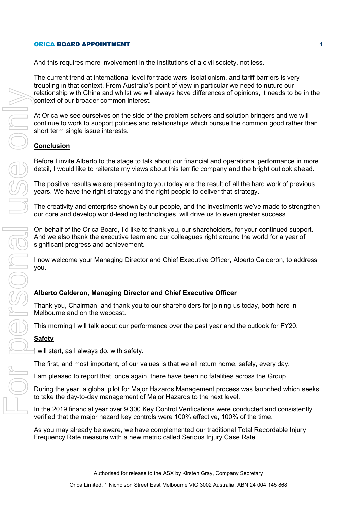### ORICA BOARD APPOINTMENT 4

And this requires more involvement in the institutions of a civil society, not less.

The current trend at international level for trade wars, isolationism, and tariff barriers is very troubling in that context. From Australia's point of view in particular we need to nuture our relationship with China and whilst we will always have differences of opinions, it needs to be in the context of our broader common interest.

At Orica we see ourselves on the side of the problem solvers and solution bringers and we will continue to work to support policies and relationships which pursue the common good rather than short term single issue interests.

# **Conclusion**

Before I invite Alberto to the stage to talk about our financial and operational performance in more detail, I would like to reiterate my views about this terrific company and the bright outlook ahead.

The positive results we are presenting to you today are the result of all the hard work of previous years. We have the right strategy and the right people to deliver that strategy.

The creativity and enterprise shown by our people, and the investments we've made to strengthen our core and develop world-leading technologies, will drive us to even greater success.

On behalf of the Orica Board, I'd like to thank you, our shareholders, for your continued support. And we also thank the executive team and our colleagues right around the world for a year of significant progress and achievement.

I now welcome your Managing Director and Chief Executive Officer, Alberto Calderon, to address you.

# **Alberto Calderon, Managing Director and Chief Executive Officer**

Thank you, Chairman, and thank you to our shareholders for joining us today, both here in Melbourne and on the webcast.

This morning I will talk about our performance over the past year and the outlook for FY20.

## **Safety**

 $\exists$  will start, as I always do, with safety.

The first, and most important, of our values is that we all return home, safely, every day.

I am pleased to report that, once again, there have been no fatalities across the Group.

During the year, a global pilot for Major Hazards Management process was launched which seeks to take the day-to-day management of Major Hazards to the next level.

In the 2019 financial year over 9,300 Key Control Verifications were conducted and consistently verified that the major hazard key controls were 100% effective, 100% of the time.

As you may already be aware, we have complemented our traditional Total Recordable Injury<br>Frequency Rate measure with a new metric called Serious Injury Case Rate.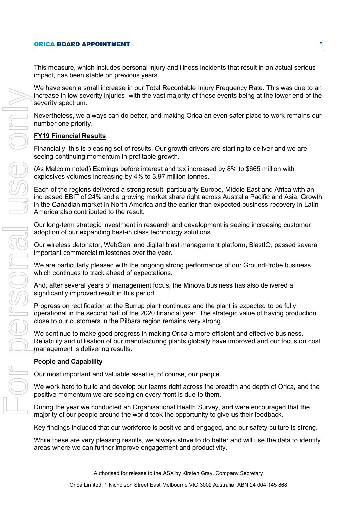This measure, which includes personal injury and illness incidents that result in an actual serious impact, has been stable on previous years.

We have seen a small increase in our Total Recordable Injury Frequency Rate. This was due to an increase in low severity injuries, with the vast majority of these events being at the lower end of the severity spectrum.

Nevertheless, we always can do better, and making Orica an even safer place to work remains our number one priority.

## **FY19 Financial Results**

Financially, this is pleasing set of results. Our growth drivers are starting to deliver and we are seeing continuing momentum in profitable growth.

(As Malcolm noted) Earnings before interest and tax increased by 8% to \$665 million with explosives volumes increasing by 4% to 3.97 million tonnes.

Each of the regions delivered a strong result, particularly Europe, Middle East and Africa with an increased EBIT of 24% and a growing market share right across Australia Pacific and Asia. Growth in the Canadian market in North America and the earlier than expected business recovery in Latin America also contributed to the result.

Our long-term strategic investment in research and development is seeing increasing customer adoption of our expanding best-in class technology solutions.

Our wireless detonator, WebGen, and digital blast management platform, BlastIQ, passed several important commercial milestones over the year.

We are particularly pleased with the ongoing strong performance of our GroundProbe business which continues to track ahead of expectations.

And, after several years of management focus, the Minova business has also delivered a significantly improved result in this period.

Progress on rectification at the Burrup plant continues and the plant is expected to be fully operational in the second half of the 2020 financial year. The strategic value of having production close to our customers in the Pilbara region remains very strong.

We continue to make good progress in making Orica a more efficient and effective business. Reliability and utilisation of our manufacturing plants globally have improved and our focus on cost management is delivering results.

## **People and Capability**

Our most important and valuable asset is, of course, our people.

We work hard to build and develop our teams right across the breadth and depth of Orica, and the positive momentum we are seeing on every front is due to them.

During the year we conducted an Organisational Health Survey, and were encouraged that the majority of our people around the world took the opportunity to give us their feedback.

Key findings included that our workforce is positive and engaged, and our safety culture is strong.

While these are very pleasing results, we always strive to do better and will use the data to identify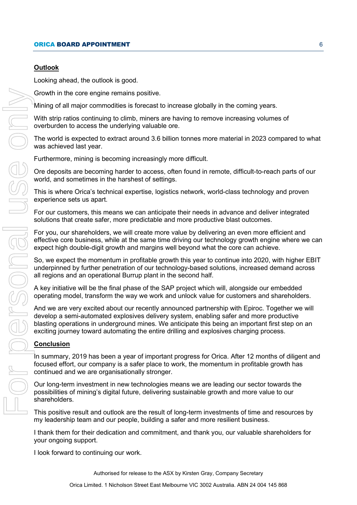# **Outlook**

Looking ahead, the outlook is good.

Growth in the core engine remains positive.

Mining of all major commodities is forecast to increase globally in the coming years.

With strip ratios continuing to climb, miners are having to remove increasing volumes of overburden to access the underlying valuable ore.

The world is expected to extract around 3.6 billion tonnes more material in 2023 compared to what was achieved last year.

Furthermore, mining is becoming increasingly more difficult.

Ore deposits are becoming harder to access, often found in remote, difficult-to-reach parts of our world, and sometimes in the harshest of settings.

This is where Orica's technical expertise, logistics network, world-class technology and proven experience sets us apart.

For our customers, this means we can anticipate their needs in advance and deliver integrated solutions that create safer, more predictable and more productive blast outcomes.

For you, our shareholders, we will create more value by delivering an even more efficient and effective core business, while at the same time driving our technology growth engine where we can expect high double-digit growth and margins well beyond what the core can achieve.

So, we expect the momentum in profitable growth this year to continue into 2020, with higher EBIT underpinned by further penetration of our technology-based solutions, increased demand across all regions and an operational Burrup plant in the second half.

A key initiative will be the final phase of the SAP project which will, alongside our embedded operating model, transform the way we work and unlock value for customers and shareholders.

And we are very excited about our recently announced partnership with Epiroc. Together we will develop a semi-automated explosives delivery system, enabling safer and more productive blasting operations in underground mines. We anticipate this being an important first step on an exciting journey toward automating the entire drilling and explosives charging process.

## **Conclusion**

In summary, 2019 has been a year of important progress for Orica. After 12 months of diligent and focused effort, our company is a safer place to work, the momentum in profitable growth has continued and we are organisationally stronger.

Our long-term investment in new technologies means we are leading our sector towards the possibilities of mining's digital future, delivering sustainable growth and more value to our shareholders.

This positive result and outlook are the result of long-term investments of time and resources by my leadership team and our people, building a safer and more resilient business.

I thank them for their dedication and commitment, and thank you, our valuable shareholders for your ongoing support.

Authorised for release to the ASX by Kirsten Gray, Company Secretary